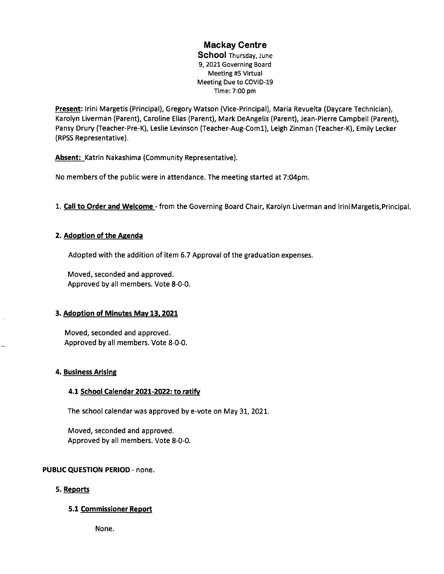# Mackay Centre

School Thursday, June 9, 2021 Governing Board Meeting #5 Virtual Meeting Due to COVID-19 Time: 7:00 pm

Present: Irini Margetis (Principal), GregoryWatson (Vice-Principal), Maria Revuelta (Daycare Technician), Karolyn Liverman (Parent), Caroline Elias (Parent), Mark DeAngelis (Parent), Jean-Pierre Campbetl (Parent), Pansy Drury (Teacher-Pre-K), Leslie Levinson (Teacher-Aug-Coml), Leigh Zinman (Teacher-K), Emily Lecker (RPSS Representative).

Absent: Katrin Nakashima (Community Representative).

No members of the public were in attendance. The meeting started at 7:04pm.

1. Call to Order and Welcome - from the Governing Board Chair, Karolyn Liverman and IriniMargetis, Principal.

## 2. Adoption of the Agenda

Adopted with the addition of item 6.7 Approval of the graduation expenses.

Moved, seconded and approved. Approved by alt members. Vote 8-0-0.

## 3. Adoption of Minutes May 13.2021

Moved, seconded and approved. Approved by all members. Vote 8-0-0.

## 4. Business Arising

## 4.1 School Calendar 2021-2022: to ratifv

The school calendar was approved by e-vote on May 31, 2021.

Moved, seconded and approved. Approved by all members. Vote 8-0-0.

## PUBLIC QUESTION PERIOD - none.

## 5. Reports

## 5.1 Commissioner Report

None.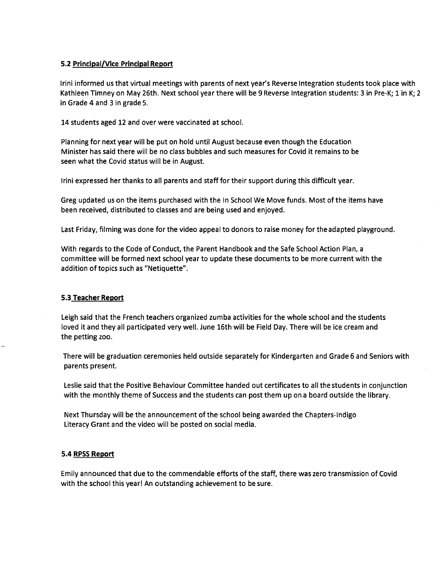## 5.2 Principal/Vice Principal Report

Irini informed us that virtual meetings with parents of next year's Reverse tntegration students took place with Kathleen Timney on May 26th. Next school year there will be <sup>9</sup> Reverse Integration students: <sup>3</sup> in Pre-K; <sup>1</sup> in K; <sup>2</sup> in Grade 4 and <sup>3</sup> in grade 5.

14 students aged 12 and over were vaccinated at school.

Planning for next year will be put on hold until August because even though the Education Minister has said there will be no class bubbles and such measures for Covid it remains to be seen what the Covid status will be in August.

Irini expressed her thanks to all parents and staff for their support during this difficult year.

Greg updated us on the items purchased with the In School We Move funds. Most ofthe items have been received, distributed to classes and are being used and enjoyed.

Last Friday, filming was done for the video appeal to donors to raise money for theadapted playground.

With regards to the Code of Conduct, the Parent Handbook and the Safe School Action Plan, <sup>a</sup> committee will be formed next schoolyear to update these documents to be more current with the addition of topics such as "Netiquette".

## 5.3 Teacher Report

Leigh said that the French teachers organized zumba activities for the whole school and the students loved it and they all participated very well. June 16th will be Field Day. There will be ice cream and the petting zoo.

There will be graduation ceremonies held outside separately for Kindergarten and Grade <sup>6</sup> and Seniors with parents present.

Leslie said that the Positive Behaviour Committee handed out certificates to all thestudents in conjunction with the monthly theme of Success and the students can post them up on <sup>a</sup> board outside the library.

Next Thursday will be the announcement ofthe school being awarded the Chapters-lndigo Literacy Grant and the video will be posted on social media.

## 5.4 RPSS Report

Emily announced that due to the commendable efforts of the staff, there was zero transmission of Covid with the school this year! An outstanding achievement to be sure.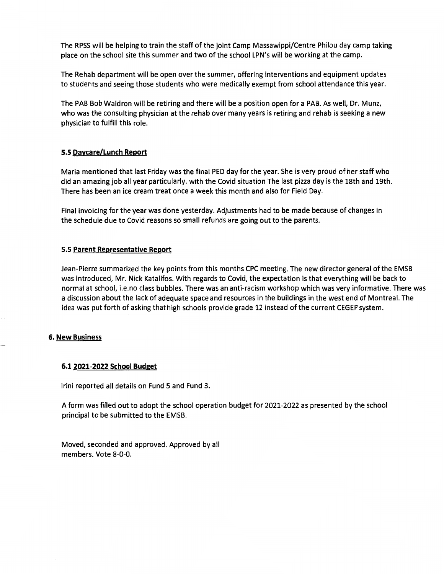The RPSS will be helping to train the staff of the joint Camp Massawippi/Centre Philou day camp taking place on the school site this summer and two of the school LPN's will be working at the camp.

The Rehab department will be open over the summer, offering interventions and equipment updates to students and seeing those students who were medically exempt from school attendance this year.

The PAB Bob Waldron will be retiring and there will be <sup>a</sup> position open for <sup>a</sup> PAB. As wetl, Dr. Munz, who was the consulting physician at the rehab over many years is retiring and rehab is seeking <sup>a</sup> new physician to fulfill this role.

#### 5.5 Daycare/Lunch Report

Maria mentioned that last Friday was the finat PED day for the year. She is very proud of her staff who did an amazing job all year particularly. with the Covid situation The last pizza day is the 18th and 19th. There has been an ice cream treat once <sup>a</sup> week this month and also for Field Day.

Final invoicing for the year was done yesterday. Adjustments had to be made because of changes in the schedule due to Covid reasons so small refunds are going out to the parents.

#### 5.5 Parent Representative Repprt

Jean-Pierre summarized the key points from this months CPC meeting. The new director general of the EMSB was introduced, Mr. Nick Katalifos. With regards to Covid, the expectation is that everything will be back to normal at school, i.e.no class bubbtes. There was an anti-racism workshop which was very informative. There was <sup>a</sup> discussion about the lack of adequate space and resources in the buildings in the west end of Montreal. The idea was put forth of asking that high schools provide grade <sup>12</sup> instead ofthe current CEGEP system.

#### 6. New Business

#### 6.1 2021-2022 School Budget

Irini reported all details on Fund 5 and Fund 3.

A form was filled out to adopt the school operation budget for 2021-2022 as presented by the school principal to be submitted to the EMSB.

Moved, seconded and approved. Approved by all members. Vote 8-0-0.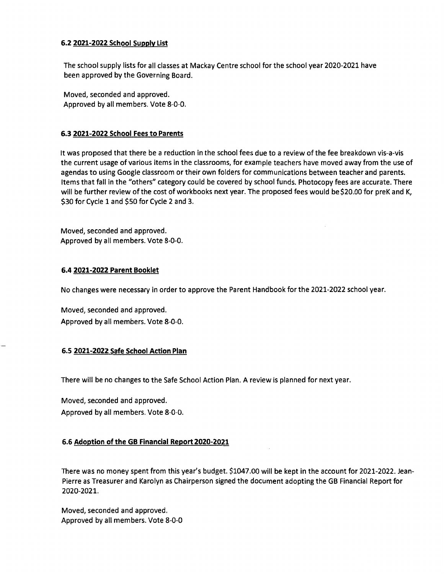#### 6.2 2021-2022 School Supplv List

The school supply lists for all classes at Mackay Centre school for the school year 2020-2021 have been approved by the Governing Board.

Moved, seconded and approved. Approved by all members. Vote 8-0-0.

## 6.3 2021-2022 School Fees to Parents

It was proposed that there be a reduction in the school fees due to a review of the fee breakdown vis-a-vis the current usage of various items in the classrooms, for example teachers have moved away from the use of agendas to using Google classroom or their own folders for communications between teacher and parents. Items that fall in the "others" category could be covered by school funds. Photocopy fees are accurate. There will be further review of the cost of workbooks next year. The proposed fees would be \$20.00 for preK and K, \$30 for Cycle <sup>1</sup> and \$50 for Cycle <sup>2</sup> and 3.

Moved, seconded and approved. Approved by all members. Vote 8-0-0.

## 6.4 2021-2022 Parent Booklet

No changes were necessary in order to approve the Parent Handbook for the 2021-2022 school year.

Moved, seconded and approved. Approved by all members. Vote 8-0-0.

## 6.5 2021-2022 Safe School Action Plan

There will be no changes to the Safe School Action Plan. A review is planned for next year.

Moved, seconded and approved.

Approved by all members. Vote 8-0-0.

## 6.6 Adoption of the GB Financial Report 202Q-2021

There was no money spent from this year's budget. \$1047.00 will be kept in the account for 2021-2022. Jean-Pierre as Treasurer and Karolyn as Chairperson signed the document adopting the GB Financial Report for 2020-2021.

Moved, seconded and approved. Approved by all members. Vote 8-0-0